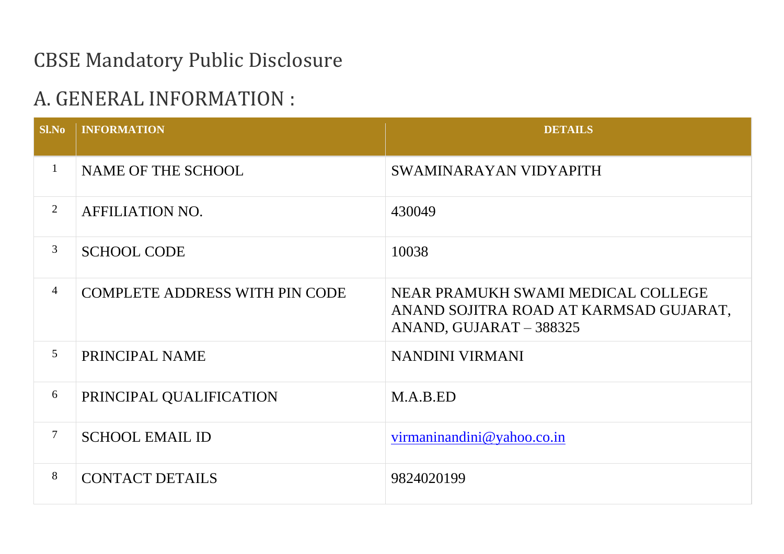## CBSE Mandatory Public Disclosure

## A. GENERAL INFORMATION :

| S1.No          | <b>INFORMATION</b>                    | <b>DETAILS</b>                                                                                          |
|----------------|---------------------------------------|---------------------------------------------------------------------------------------------------------|
| $\mathbf{1}$   | NAME OF THE SCHOOL                    | SWAMINARAYAN VIDYAPITH                                                                                  |
| $\overline{2}$ | <b>AFFILIATION NO.</b>                | 430049                                                                                                  |
| 3              | <b>SCHOOL CODE</b>                    | 10038                                                                                                   |
| $\overline{4}$ | <b>COMPLETE ADDRESS WITH PIN CODE</b> | NEAR PRAMUKH SWAMI MEDICAL COLLEGE<br>ANAND SOJITRA ROAD AT KARMSAD GUJARAT,<br>ANAND, GUJARAT - 388325 |
| 5              | PRINCIPAL NAME                        | NANDINI VIRMANI                                                                                         |
| 6              | PRINCIPAL QUALIFICATION               | M.A.B.ED                                                                                                |
| $\overline{7}$ | <b>SCHOOL EMAIL ID</b>                | yirmaninandini@yahoo.co.in                                                                              |
| 8              | <b>CONTACT DETAILS</b>                | 9824020199                                                                                              |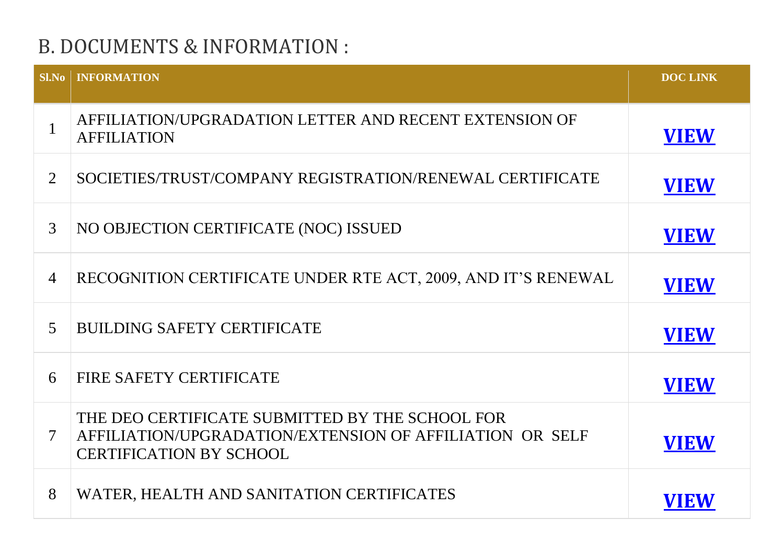# B. DOCUMENTS & INFORMATION :

| SlNo           | <b>INFORMATION</b>                                                                                                                            | <b>DOC LINK</b> |
|----------------|-----------------------------------------------------------------------------------------------------------------------------------------------|-----------------|
| $\mathbf{1}$   | AFFILIATION/UPGRADATION LETTER AND RECENT EXTENSION OF<br><b>AFFILIATION</b>                                                                  | <b>VIEW</b>     |
| $\overline{2}$ | SOCIETIES/TRUST/COMPANY REGISTRATION/RENEWAL CERTIFICATE                                                                                      | <b>VIEW</b>     |
| 3              | NO OBJECTION CERTIFICATE (NOC) ISSUED                                                                                                         | <b>VIEW</b>     |
| $\overline{4}$ | RECOGNITION CERTIFICATE UNDER RTE ACT, 2009, AND IT'S RENEWAL                                                                                 | <b>VIEW</b>     |
| $\overline{5}$ | <b>BUILDING SAFETY CERTIFICATE</b>                                                                                                            | <b>VIEW</b>     |
| 6              | FIRE SAFETY CERTIFICATE                                                                                                                       | <b>VIEW</b>     |
| $\tau$         | THE DEO CERTIFICATE SUBMITTED BY THE SCHOOL FOR<br>AFFILIATION/UPGRADATION/EXTENSION OF AFFILIATION OR SELF<br><b>CERTIFICATION BY SCHOOL</b> | <b>VIEW</b>     |
| 8              | WATER, HEALTH AND SANITATION CERTIFICATES                                                                                                     | VIEW            |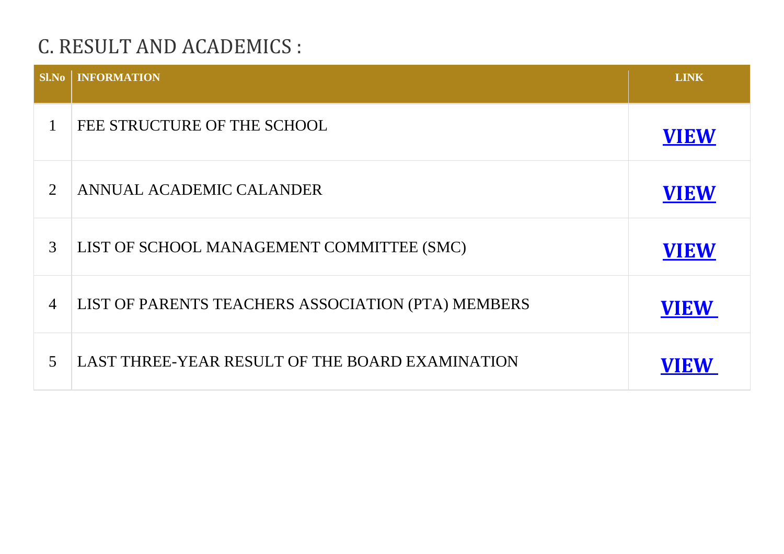# C. RESULT AND ACADEMICS :

| <b>Sl.No</b>   | <b>INFORMATION</b>                                 | <b>LINK</b> |
|----------------|----------------------------------------------------|-------------|
|                | FEE STRUCTURE OF THE SCHOOL                        | <b>VIEW</b> |
| 2              | ANNUAL ACADEMIC CALANDER                           | <b>VIEW</b> |
| 3              | LIST OF SCHOOL MANAGEMENT COMMITTEE (SMC)          | <b>VIEW</b> |
| $\overline{4}$ | LIST OF PARENTS TEACHERS ASSOCIATION (PTA) MEMBERS | <b>VIEW</b> |
| 5              | LAST THREE-YEAR RESULT OF THE BOARD EXAMINATION    | <b>VIEW</b> |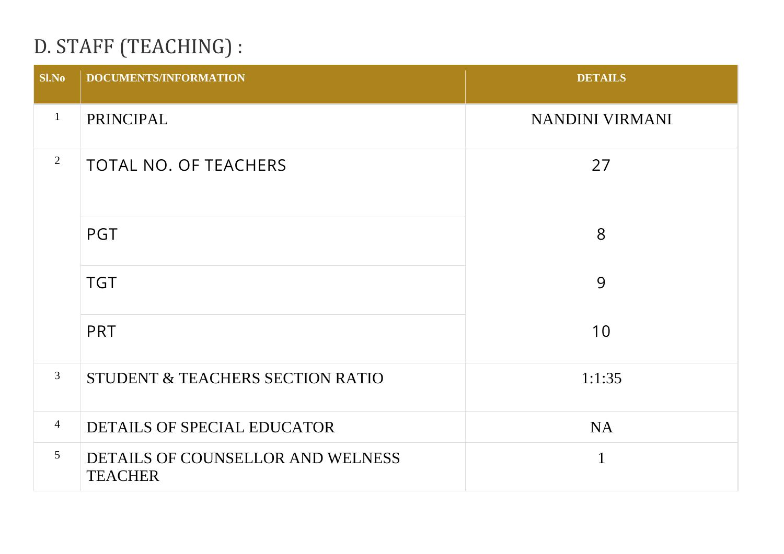# D. STAFF (TEACHING) :

| <b>Sl.No</b>   | <b>DOCUMENTS/INFORMATION</b>                        | <b>DETAILS</b>  |
|----------------|-----------------------------------------------------|-----------------|
| $\mathbf{1}$   | PRINCIPAL                                           | NANDINI VIRMANI |
| $\overline{2}$ | <b>TOTAL NO. OF TEACHERS</b>                        | 27              |
|                | <b>PGT</b>                                          | 8               |
|                | <b>TGT</b>                                          | 9               |
|                | <b>PRT</b>                                          | 10              |
| $\mathfrak{Z}$ | STUDENT & TEACHERS SECTION RATIO                    | 1:1:35          |
| $\overline{4}$ | DETAILS OF SPECIAL EDUCATOR                         | <b>NA</b>       |
| 5 <sup>5</sup> | DETAILS OF COUNSELLOR AND WELNESS<br><b>TEACHER</b> | $\mathbf{1}$    |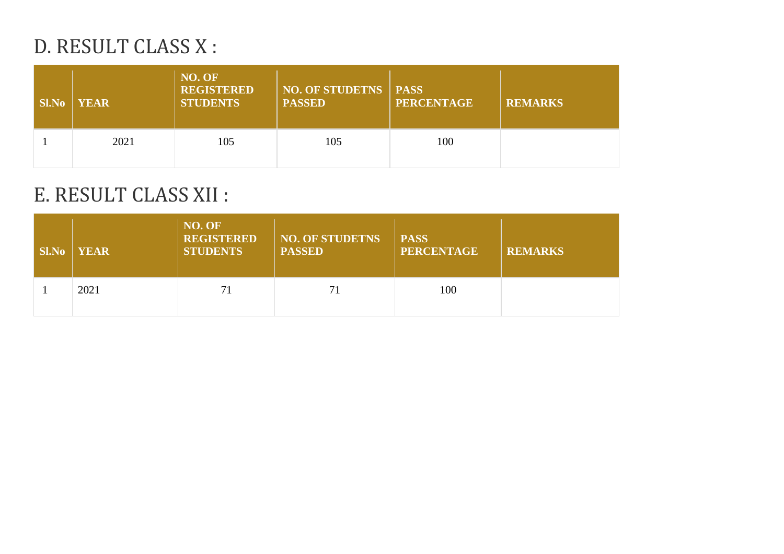## D. RESULT CLASS X :

| <b>Sl.No</b> | <b>YEAR</b> | NO. OF<br><b>REGISTERED</b><br><b>STUDENTS</b> | <b>NO. OF STUDETNS   PASS</b><br><b>PASSED</b> | <b>PERCENTAGE</b> | <b>REMARKS</b> |
|--------------|-------------|------------------------------------------------|------------------------------------------------|-------------------|----------------|
|              | 2021        | 105                                            | 105                                            | 100               |                |

### E. RESULT CLASS XII :

| <b>Sl.No</b> | <b>YEAR</b> | NO. OF<br><b>REGISTERED</b><br><b>STUDENTS</b> | <b>NO. OF STUDETNS</b><br><b>PASSED</b> | <b>PASS</b><br><b>PERCENTAGE</b> | <b>REMARKS</b> |
|--------------|-------------|------------------------------------------------|-----------------------------------------|----------------------------------|----------------|
|              | 2021        | 71                                             | 71                                      | 100                              |                |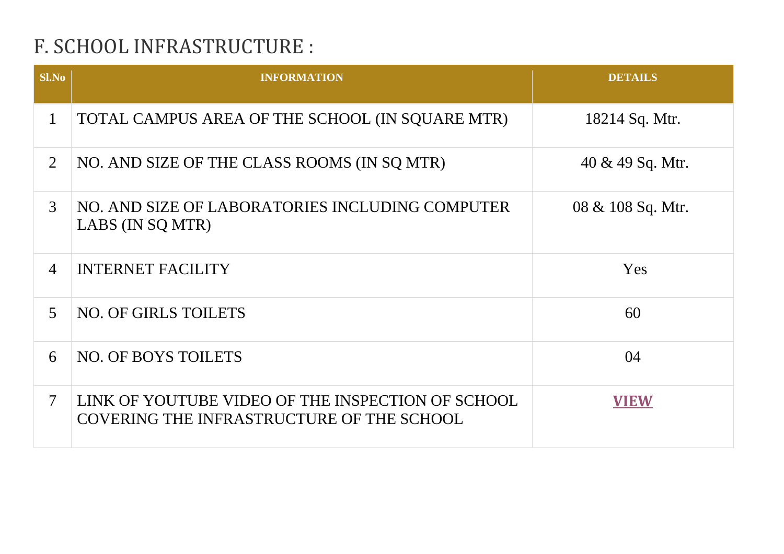# F. SCHOOL INFRASTRUCTURE :

| S1.No          | <b>INFORMATION</b>                                                                                    | <b>DETAILS</b>      |
|----------------|-------------------------------------------------------------------------------------------------------|---------------------|
| $\mathbf{1}$   | TOTAL CAMPUS AREA OF THE SCHOOL (IN SQUARE MTR)                                                       | 18214 Sq. Mtr.      |
| $\overline{2}$ | NO. AND SIZE OF THE CLASS ROOMS (IN SQ MTR)                                                           | $40 \& 49$ Sq. Mtr. |
| 3              | NO. AND SIZE OF LABORATORIES INCLUDING COMPUTER<br>LABS (IN SQ MTR)                                   | 08 & 108 Sq. Mtr.   |
| $\overline{4}$ | <b>INTERNET FACILITY</b>                                                                              | <b>Yes</b>          |
| $\overline{5}$ | <b>NO. OF GIRLS TOILETS</b>                                                                           | 60                  |
| 6              | <b>NO. OF BOYS TOILETS</b>                                                                            | 04                  |
| $\tau$         | LINK OF YOUTUBE VIDEO OF THE INSPECTION OF SCHOOL<br><b>COVERING THE INFRASTRUCTURE OF THE SCHOOL</b> | <b>VIEW</b>         |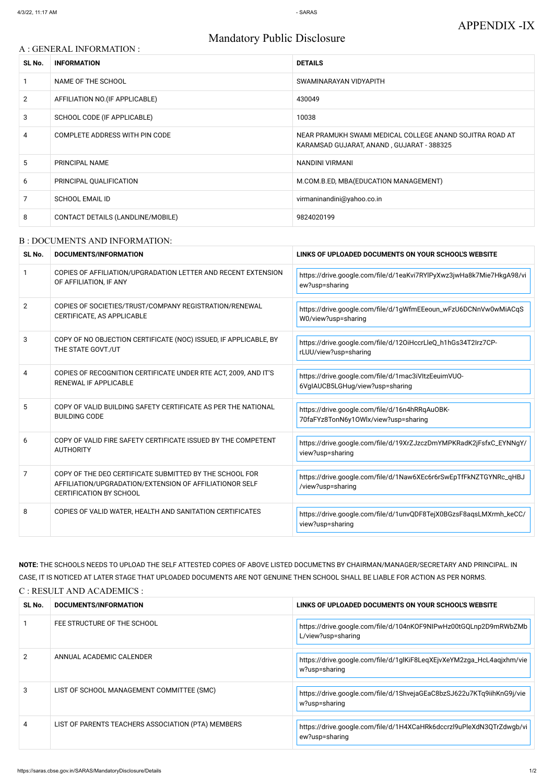### Mandatory Public Disclosure

### A : GENERAL INFORMATION :

| SL No.         | <b>INFORMATION</b>                | <b>DETAILS</b>                                                                                        |
|----------------|-----------------------------------|-------------------------------------------------------------------------------------------------------|
|                | NAME OF THE SCHOOL                | SWAMINARAYAN VIDYAPITH                                                                                |
| $\overline{2}$ | AFFILIATION NO. (IF APPLICABLE)   | 430049                                                                                                |
| 3              | SCHOOL CODE (IF APPLICABLE)       | 10038                                                                                                 |
| 4              | COMPLETE ADDRESS WITH PIN CODE    | NEAR PRAMUKH SWAMI MEDICAL COLLEGE ANAND SOJITRA ROAD AT<br>KARAMSAD GUJARAT, ANAND, GUJARAT - 388325 |
| 5              | <b>PRINCIPAL NAME</b>             | NANDINI VIRMANI                                                                                       |
| 6              | PRINCIPAL QUALIFICATION           | M.COM.B.ED, MBA(EDUCATION MANAGEMENT)                                                                 |
| 7              | <b>SCHOOL EMAIL ID</b>            | virmaninandini@yahoo.co.in                                                                            |
| 8              | CONTACT DETAILS (LANDLINE/MOBILE) | 9824020199                                                                                            |

#### B : DOCUMENTS AND INFORMATION:

| SL No.         | DOCUMENTS/INFORMATION                                                                                                                                | LINKS OF UPLOADED DOCUMENTS ON YOUR SCHOOL'S WEBSITE                                   |
|----------------|------------------------------------------------------------------------------------------------------------------------------------------------------|----------------------------------------------------------------------------------------|
| $\mathbf{1}$   | COPIES OF AFFILIATION/UPGRADATION LETTER AND RECENT EXTENSION<br>OF AFFILIATION, IF ANY                                                              | https://drive.google.com/file/d/1eaKvi7RYlPyXwz3jwHa8k7Mie7HkgA98/vi<br>ew?usp=sharing |
| $\overline{2}$ | COPIES OF SOCIETIES/TRUST/COMPANY REGISTRATION/RENEWAL<br>CERTIFICATE, AS APPLICABLE                                                                 | https://drive.google.com/file/d/1gWfmEEeoun_wFzU6DCNnVw0wMiACqS<br>W0/view?usp=sharing |
| 3              | COPY OF NO OBJECTION CERTIFICATE (NOC) ISSUED, IF APPLICABLE, BY<br>THE STATE GOVT./UT                                                               | https://drive.google.com/file/d/120iHccrLleQ_h1hGs34T2Irz7CP-<br>rLUU/view?usp=sharing |
| 4              | COPIES OF RECOGNITION CERTIFICATE UNDER RTE ACT, 2009, AND IT'S<br>RENEWAL IF APPLICABLE                                                             | https://drive.google.com/file/d/1mac3iVItzEeuimVUO-<br>6VgIAUCB5LGHug/view?usp=sharing |
| 5              | COPY OF VALID BUILDING SAFETY CERTIFICATE AS PER THE NATIONAL<br><b>BUILDING CODE</b>                                                                | https://drive.google.com/file/d/16n4hRRqAuOBK-<br>70faFYz8TonN6y1OWlx/view?usp=sharing |
| 6              | COPY OF VALID FIRE SAFETY CERTIFICATE ISSUED BY THE COMPETENT<br><b>AUTHORITY</b>                                                                    | https://drive.google.com/file/d/19XrZJzczDmYMPKRadK2jFsfxC_EYNNgY/<br>view?usp=sharing |
| $\overline{7}$ | COPY OF THE DEO CERTIFICATE SUBMITTED BY THE SCHOOL FOR<br>AFFILIATION/UPGRADATION/EXTENSION OF AFFILIATIONOR SELF<br><b>CERTIFICATION BY SCHOOL</b> | https://drive.google.com/file/d/1Naw6XEc6r6rSwEpTfFkNZTGYNRc_qHBJ<br>/view?usp=sharing |
| 8              | COPIES OF VALID WATER, HEALTH AND SANITATION CERTIFICATES                                                                                            | https://drive.google.com/file/d/1unvQDF8TejX0BGzsF8aqsLMXrmh_keCC/<br>view?usp=sharing |

**NOTE:** THE SCHOOLS NEEDS TO UPLOAD THE SELF ATTESTED COPIES OF ABOVE LISTED DOCUMETNS BY CHAIRMAN/MANAGER/SECRETARY AND PRINCIPAL. IN CASE, IT IS NOTICED AT LATER STAGE THAT UPLOADED DOCUMENTS ARE NOT GENUINE THEN SCHOOL SHALL BE LIABLE FOR ACTION AS PER NORMS. C : RESULT AND ACADEMICS :

| SL No.        | DOCUMENTS/INFORMATION                              | LINKS OF UPLOADED DOCUMENTS ON YOUR SCHOOL'S WEBSITE                                   |
|---------------|----------------------------------------------------|----------------------------------------------------------------------------------------|
|               | FEE STRUCTURE OF THE SCHOOL                        | https://drive.google.com/file/d/104nK0F9NIPwHz00tGQLnp2D9mRWbZMb<br>L/view?usp=sharing |
| $\mathcal{P}$ | ANNUAL ACADEMIC CALENDER                           | https://drive.google.com/file/d/1glKiF8LeqXEjvXeYM2zga_HcL4aqjxhm/vie<br>w?usp=sharing |
| 3             | LIST OF SCHOOL MANAGEMENT COMMITTEE (SMC)          | https://drive.google.com/file/d/1ShvejaGEaC8bzSJ622u7KTq9iihKnG9j/vie<br>w?usp=sharing |
| 4             | LIST OF PARENTS TEACHERS ASSOCIATION (PTA) MEMBERS | https://drive.google.com/file/d/1H4XCaHRk6dccrzl9uPleXdN3QTrZdwgb/vi<br>ew?usp=sharing |